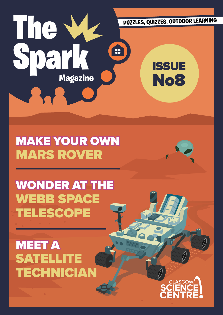

## MAKE YOUR OWN MARS ROVER

# WONDER AT THE WEBB SPACE TELESCOPE

**MEET A** SATELLITE TECHNICIAN

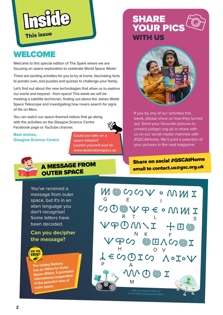

### **WELCOME**

Welcome to this special edition of The Spark where we are focusing on space exploration to celebrate World Space Week!

There are exciting activities for you to try at home, fascinating facts to ponder over, and puzzles and quizzes to challenge your family.

Let's find out about the new technologies that allow us to explore our world and beyond - from space! This week we will be meeting a satellite technician, finding out about the James Webb Space Telescope and investigating how rovers search for signs of life on Mars.

You can watch our space-themed videos that go along with the activities on the Glasgow Science Centre Facebook page or YouTube channel.



#### **Best wishes, Glasgow Science Centre**

**Could you take on a space mission? Launch yourself over to: www.destinationspace.uk**





If you try any of our activities this week, please show us how they turned out. Send your favourite pictures to contact.us@gsc.org.uk or share with us on our social media channels with #GSCAtHome. We'll print a selection of your pictures in the next magazine.

### A MESSAGE FROM OUTER SPACE

You've received a message from outer space, but it's in an alien language you don't recognise! Some letters have been decoded.

#### **Can you decipher the message?**



**The United Nations has an Office for Outer Space Affairs. It promotes international cooperation in the peaceful uses of outer space.**

email to contact.us@gsc.org.u<sup>k</sup> Share on social #GSCAtHome

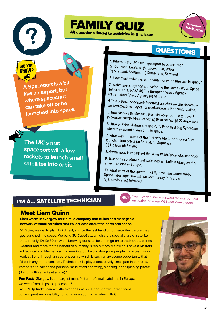

KNNW

**A Spaceport is a bit like an airport, but where spacecraft can take off or be** 

**launched into space.** 

**The UK' s first** 

**spaceport will allow** 

**satellites into orbit.**

**rockets to launch small** 

## Answers on<br>haat back page

### QUESTIONS

1. Where is the UK's first spaceport to be located? (a) Cornwall, England (b) Snowdonia, Wales

FAMILY QUIZ

All questions linked to activities in this issue

(c) Shetland, Scotland (d) Sutherland, Scotland

2. How much taller can astronauts get when they are in space?

3. Which space agency is developing the James Webb Space Telescope? (a) NASA (b) The European Space Agency (c) Canadian Space Agency (d) All three

4. True or False. Spaceports for orbital launches are often located on western coasts so they can take advantage of the Earth's rotation.

5. How fast will the Rosalind Franklin Rover be able to travel? (a) 5km per hour (b) 14km per hour (c) 19km per hour (d) 22km per hour

6. True or False. Astronauts get Puffy Face Bird Leg Syndrome when they spend a long time in space.

7. What was the name of the first satellite to be successfully launched into orbit? (a) Sputnik (b) Suputnyk (c) Lloeren (d) Satellit

8. How far away from Earth will the James Webb Space Telescope orbit?

9. True or False. More small satellites are built in Glasgow than anywhere else in Europe.

10. What parts of the spectrum of light will the James Webb Space Telescope 'see' in? (a) Gamma-ray (b) Visible (c) Ultraviolet (d) Infra-red

I'M A... SATELLITE TECHNICIAN



**You may find some answers throughout this HINT rou** may find some answers throughout the magazine or in our #GSCAtHome videos.

#### Meet Liam Quinn

**Liam works in Glasgow for Spire, a company that builds and manages a network of small satellites that collect data about the earth and space.** 

"At Spire, we get to plan, build, test, and be the last hand on our satellites before they get launched into space. We build 3U CubeSats, which are a special class of satellite that are only 10x10x30cm wide! Knowing our satellites then go on to track ships, planes, weather and more for the benefit of humanity is really morally fulfilling. I have a Masters in Electrical and Mechanical Engineering, but I work alongside people in my team who work at Spire through an apprenticeship which is such an awesome opportunity that I'd push anyone to consider. Technical skills play a deceptively small part in our roles, compared to having the personal skills of collaborating, planning, and "spinning plates" (doing multiple tasks at a time)."

**Fun Fact:** Glasgow is the largest manufacturer of small satellites in Europe we went from ships to spaceships!

**Skill/Party trick:** I can whistle two tones at once, though with great power comes great responsibility to not annoy your workmates with it!

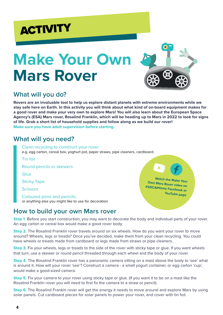# **ACTIVITY**

# **Make Your Own Mars Rover**



#### **What will you do?**

**Rovers are an invaluable tool to help us explore distant planets with extreme environments while we stay safe here on Earth. In this activity you will think about what kind of on-board equipment makes for a good rover and make your very own to explore Mars! You will also learn about the European Space Agency's (ESA) Mars rover, Rosalind Franklin, which will be heading up to Mars in 2022 to look for signs of life. Grab a short list of household supplies and follow along as we build our rover! Make sure you have adult supervision before starting.**

#### **What will you need?**

| Clean recycling to construct your rover<br>e.g. egg carton, cereal box, yoghurt pot, paper straws, pipe cleaners, cardboard. |                                                       |
|------------------------------------------------------------------------------------------------------------------------------|-------------------------------------------------------|
| Tin foil                                                                                                                     |                                                       |
| Round pencils or skewers                                                                                                     | $\mathbf{A}$                                          |
| Glue                                                                                                                         |                                                       |
| <b>Sticky Tape</b>                                                                                                           | <b>Watch the Make Your</b><br>Own Mars Rover video on |
| <b>Scissors</b>                                                                                                              | #GSCAtHome Facebook or                                |
| Coloured pens and pencils,<br>or anything else you might like to use for decoration                                          | <b>YouTube page</b>                                   |
|                                                                                                                              |                                                       |

#### **How to build your own Mars rover**

**Step 1.** Before you start construction, you may want to decorate the body and individual parts of your rover. An egg carton or cereal box would make a good rover body.

**Step 2.** The Rosalind Franklin rover travels around on six wheels. How do you want your rover to move around? Wheels, legs or treads? Once you've decided, make them from your clean recycling. You could have wheels or treads made from cardboard or legs made from straws or pipe cleaners.

**Step 3.** Fix your wheels, legs or treads to the side of the rover with sticky tape or glue. If you want wheels that turn, use a skewer or round pencil threaded through each wheel and the body of your rover.

**Step 4.** The Rosalind Franklin rover has a panoramic camera sitting on a mast above the body to 'see' what is around it. How will your rover 'see'? Construct a camera - a small yogurt container, or egg carton 'cup', would make a good-sized camera.

**Step 5.** Fix your camera to your rover using sticky tape or glue. (If you want it to be on a mast like the Rosalind Franklin rover you will need to first fix the camera to a straw or pencil).

**Step 6.** The Rosalind Frankin rover will get the energy it needs to move around and explore Mars by using solar panels. Cut cardboard pieces for solar panels to power your rover, and cover with tin foil.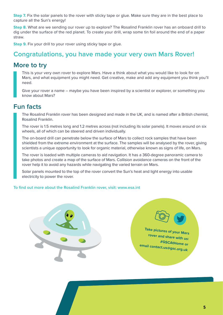**Step 7.** Fix the solar panels to the rover with sticky tape or glue. Make sure they are in the best place to capture all the Sun's energy!

**Step 8.** What are we sending our rover up to explore? The Rosalind Franklin rover has an onboard drill to dig under the surface of the red planet. To create your drill, wrap some tin foil around the end of a paper straw.

**Step 9.** Fix your drill to your rover using sticky tape or glue.

#### **Congratulations, you have made your very own Mars Rover!**

#### **More to try**

This is your very own rover to explore Mars. Have a think about what you would like to look for on Mars, and what equipment you might need. Get creative, make and add any equipment you think you'll need.

Give your rover a name – maybe you have been inspired by a scientist or explorer, or something you know about Mars?

#### **Fun facts**

The Rosalind Franklin rover has been designed and made in the UK, and is named after a British chemist, Rosalind Franklin.

The rover is 1.5 metres long and 1.2 metres across (not including its solar panels). It moves around on six wheels, all of which can be steered and driven individually.

The on-board drill can penetrate below the surface of Mars to collect rock samples that have been shielded from the extreme environment at the surface. The samples will be analysed by the rover, giving scientists a unique opportunity to look for organic material, otherwise known as signs of life, on Mars.

The rover is loaded with multiple cameras to aid navigation. It has a 360-degree panoramic camera to take photos and create a map of the surface of Mars. Collision avoidance cameras on the front of the rover help it to avoid any hazards while navigating the varied terrain on Mars.

Solar panels mounted to the top of the rover convert the Sun's heat and light energy into usable electricity to power the rover.

#### **To find out more about the Rosalind Franklin rover, visit: www.esa.int**





**email contact.us@gsc.org.uk**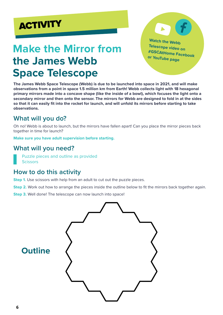

### **Make the Mirror from the James Webb Space Telescope**

**Watch the Webb Telescope video on #GSCAtHome Facebook or YouTube page**

**The James Webb Space Telescope (Webb) is due to be launched into space in 2021, and will make observations from a point in space 1.5 million km from Earth! Webb collects light with 18 hexagonal primary mirrors made into a concave shape (like the inside of a bowl), which focuses the light onto a secondary mirror and then onto the sensor. The mirrors for Webb are designed to fold in at the sides so that it can easily fit into the rocket for launch, and will unfold its mirrors before starting to take observations.**

#### **What will you do?**

Oh no! Webb is about to launch, but the mirrors have fallen apart! Can you place the mirror pieces back together in time for launch?

**Make sure you have adult supervision before starting.**

#### **What will you need?**

Puzzle pieces and outline as provided **Scissors** 

#### **How to do this activity**

**Step 1.** Use scissors with help from an adult to cut out the puzzle pieces.

**Step 2.** Work out how to arrange the pieces inside the outline below to fit the mirrors back together again.

**Step 3.** Well done! The telescope can now launch into space!

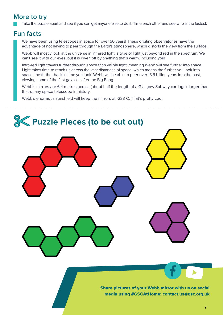#### **More to try**

Take the puzzle apart and see if you can get anyone else to do it. Time each other and see who is the fastest.

#### **Fun facts**

We have been using telescopes in space for over 50 years! These orbiting observatories have the advantage of not having to peer through the Earth's atmosphere, which distorts the view from the surface.

Webb will mostly look at the universe in infrared light, a type of light just beyond red in the spectrum. We can't see it with our eyes, but it is given off by anything that's warm, including you!

Infra-red light travels further through space than visible light, meaning Webb will see further into space. Light takes time to reach us across the vast distances of space, which means the further you look into space, the further back in time you look! Webb will be able to peer over 13.5 billion years into the past, viewing some of the first galaxies after the Big Bang.

Webb's mirrors are 6.4 metres across (about half the length of a Glasgow Subway carriage), larger than that of any space telescope in history.

Webb's enormous sunshield will keep the mirrors at -233°C. That's pretty cool.